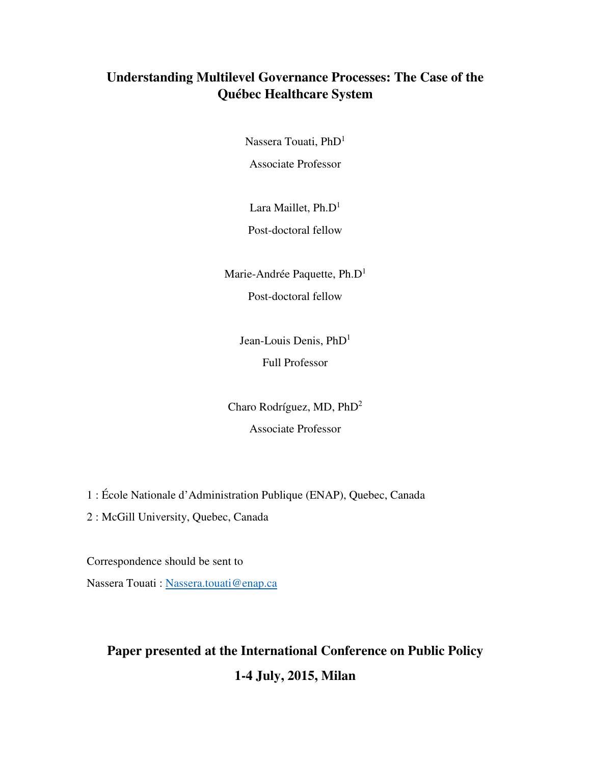## **Understanding Multilevel Governance Processes: The Case of the Québec Healthcare System**

Nassera Touati, PhD<sup>1</sup>

Associate Professor

Lara Maillet,  $Ph.D<sup>1</sup>$ 

Post-doctoral fellow

Marie-Andrée Paquette, Ph.D<sup>1</sup> Post-doctoral fellow

> Jean-Louis Denis, PhD<sup>1</sup> Full Professor

Charo Rodríguez, MD, PhD<sup>2</sup> Associate Professor

1 : École Nationale d'Administration Publique (ENAP), Quebec, Canada

2 : McGill University, Quebec, Canada

Correspondence should be sent to Nassera Touati : Nassera.touati@enap.ca

# **Paper presented at the International Conference on Public Policy 1-4 July, 2015, Milan**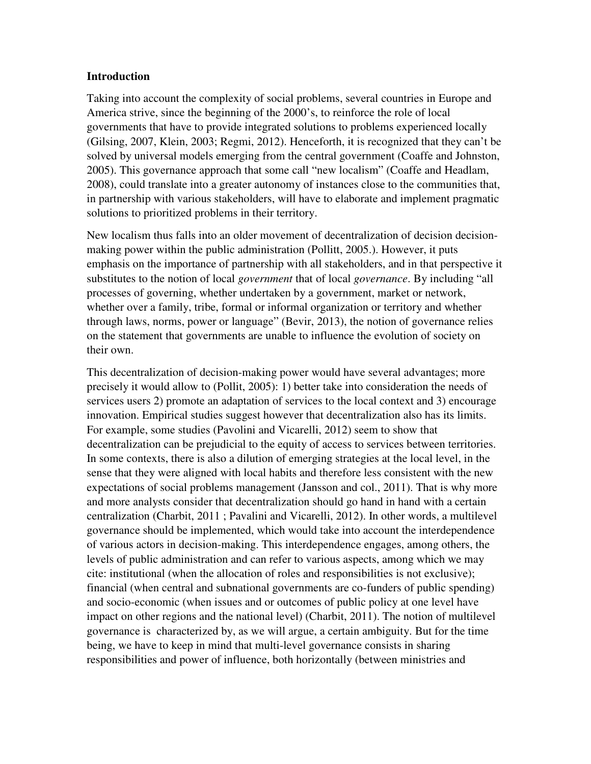#### **Introduction**

Taking into account the complexity of social problems, several countries in Europe and America strive, since the beginning of the 2000's, to reinforce the role of local governments that have to provide integrated solutions to problems experienced locally (Gilsing, 2007, Klein, 2003; Regmi, 2012). Henceforth, it is recognized that they can't be solved by universal models emerging from the central government (Coaffe and Johnston, 2005). This governance approach that some call "new localism" (Coaffe and Headlam, 2008), could translate into a greater autonomy of instances close to the communities that, in partnership with various stakeholders, will have to elaborate and implement pragmatic solutions to prioritized problems in their territory.

New localism thus falls into an older movement of decentralization of decision decisionmaking power within the public administration (Pollitt, 2005.). However, it puts emphasis on the importance of partnership with all stakeholders, and in that perspective it substitutes to the notion of local *government* that of local *governance*. By including "all processes of governing, whether undertaken by a government, market or network, whether over a family, tribe, formal or informal organization or territory and whether through laws, norms, power or language" (Bevir, 2013), the notion of governance relies on the statement that governments are unable to influence the evolution of society on their own.

This decentralization of decision-making power would have several advantages; more precisely it would allow to (Pollit, 2005): 1) better take into consideration the needs of services users 2) promote an adaptation of services to the local context and 3) encourage innovation. Empirical studies suggest however that decentralization also has its limits. For example, some studies (Pavolini and Vicarelli, 2012) seem to show that decentralization can be prejudicial to the equity of access to services between territories. In some contexts, there is also a dilution of emerging strategies at the local level, in the sense that they were aligned with local habits and therefore less consistent with the new expectations of social problems management (Jansson and col., 2011). That is why more and more analysts consider that decentralization should go hand in hand with a certain centralization (Charbit, 2011 ; Pavalini and Vicarelli, 2012). In other words, a multilevel governance should be implemented, which would take into account the interdependence of various actors in decision-making. This interdependence engages, among others, the levels of public administration and can refer to various aspects, among which we may cite: institutional (when the allocation of roles and responsibilities is not exclusive); financial (when central and subnational governments are co-funders of public spending) and socio-economic (when issues and or outcomes of public policy at one level have impact on other regions and the national level) (Charbit, 2011). The notion of multilevel governance is characterized by, as we will argue, a certain ambiguity. But for the time being, we have to keep in mind that multi-level governance consists in sharing responsibilities and power of influence, both horizontally (between ministries and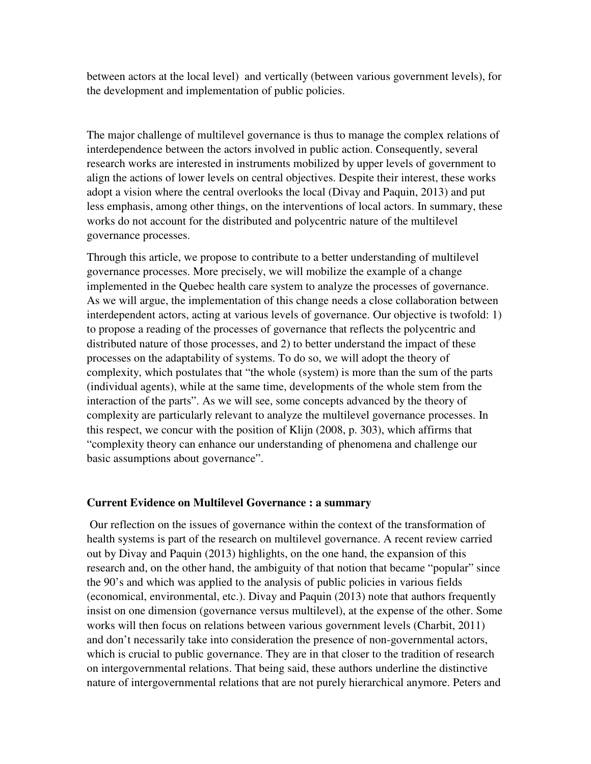between actors at the local level) and vertically (between various government levels), for the development and implementation of public policies.

The major challenge of multilevel governance is thus to manage the complex relations of interdependence between the actors involved in public action. Consequently, several research works are interested in instruments mobilized by upper levels of government to align the actions of lower levels on central objectives. Despite their interest, these works adopt a vision where the central overlooks the local (Divay and Paquin, 2013) and put less emphasis, among other things, on the interventions of local actors. In summary, these works do not account for the distributed and polycentric nature of the multilevel governance processes.

Through this article, we propose to contribute to a better understanding of multilevel governance processes. More precisely, we will mobilize the example of a change implemented in the Quebec health care system to analyze the processes of governance. As we will argue, the implementation of this change needs a close collaboration between interdependent actors, acting at various levels of governance. Our objective is twofold: 1) to propose a reading of the processes of governance that reflects the polycentric and distributed nature of those processes, and 2) to better understand the impact of these processes on the adaptability of systems. To do so, we will adopt the theory of complexity, which postulates that "the whole (system) is more than the sum of the parts (individual agents), while at the same time, developments of the whole stem from the interaction of the parts". As we will see, some concepts advanced by the theory of complexity are particularly relevant to analyze the multilevel governance processes. In this respect, we concur with the position of Klijn (2008, p. 303), which affirms that "complexity theory can enhance our understanding of phenomena and challenge our basic assumptions about governance".

#### **Current Evidence on Multilevel Governance : a summary**

 Our reflection on the issues of governance within the context of the transformation of health systems is part of the research on multilevel governance. A recent review carried out by Divay and Paquin (2013) highlights, on the one hand, the expansion of this research and, on the other hand, the ambiguity of that notion that became "popular" since the 90's and which was applied to the analysis of public policies in various fields (economical, environmental, etc.). Divay and Paquin (2013) note that authors frequently insist on one dimension (governance versus multilevel), at the expense of the other. Some works will then focus on relations between various government levels (Charbit, 2011) and don't necessarily take into consideration the presence of non-governmental actors, which is crucial to public governance. They are in that closer to the tradition of research on intergovernmental relations. That being said, these authors underline the distinctive nature of intergovernmental relations that are not purely hierarchical anymore. Peters and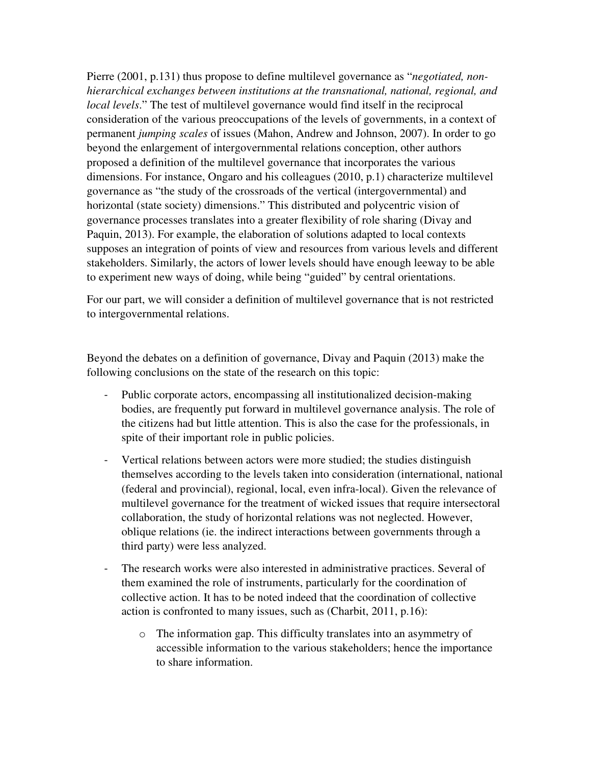Pierre (2001, p.131) thus propose to define multilevel governance as "*negotiated, nonhierarchical exchanges between institutions at the transnational, national, regional, and local levels*." The test of multilevel governance would find itself in the reciprocal consideration of the various preoccupations of the levels of governments, in a context of permanent *jumping scales* of issues (Mahon, Andrew and Johnson, 2007). In order to go beyond the enlargement of intergovernmental relations conception, other authors proposed a definition of the multilevel governance that incorporates the various dimensions. For instance, Ongaro and his colleagues (2010, p.1) characterize multilevel governance as "the study of the crossroads of the vertical (intergovernmental) and horizontal (state society) dimensions." This distributed and polycentric vision of governance processes translates into a greater flexibility of role sharing (Divay and Paquin, 2013). For example, the elaboration of solutions adapted to local contexts supposes an integration of points of view and resources from various levels and different stakeholders. Similarly, the actors of lower levels should have enough leeway to be able to experiment new ways of doing, while being "guided" by central orientations.

For our part, we will consider a definition of multilevel governance that is not restricted to intergovernmental relations.

Beyond the debates on a definition of governance, Divay and Paquin (2013) make the following conclusions on the state of the research on this topic:

- Public corporate actors, encompassing all institutionalized decision-making bodies, are frequently put forward in multilevel governance analysis. The role of the citizens had but little attention. This is also the case for the professionals, in spite of their important role in public policies.
- Vertical relations between actors were more studied; the studies distinguish themselves according to the levels taken into consideration (international, national (federal and provincial), regional, local, even infra-local). Given the relevance of multilevel governance for the treatment of wicked issues that require intersectoral collaboration, the study of horizontal relations was not neglected. However, oblique relations (ie. the indirect interactions between governments through a third party) were less analyzed.
- The research works were also interested in administrative practices. Several of them examined the role of instruments, particularly for the coordination of collective action. It has to be noted indeed that the coordination of collective action is confronted to many issues, such as (Charbit, 2011, p.16):
	- o The information gap. This difficulty translates into an asymmetry of accessible information to the various stakeholders; hence the importance to share information.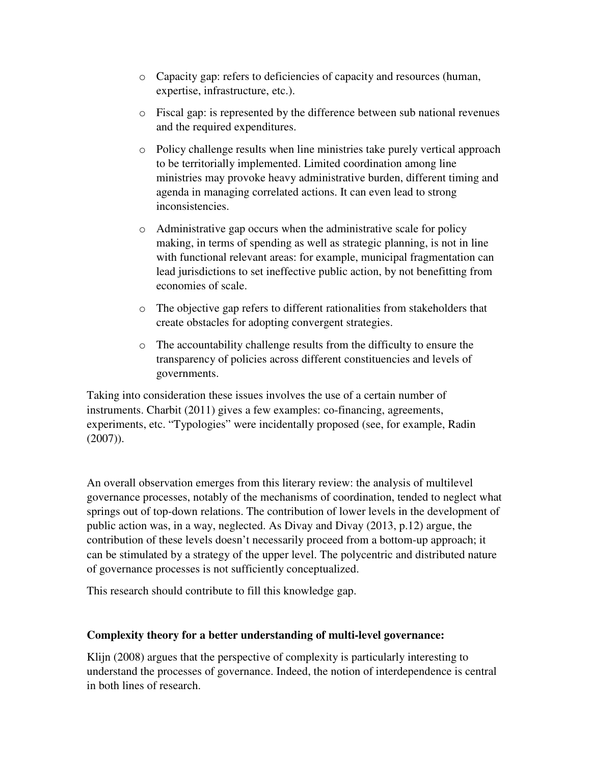- o Capacity gap: refers to deficiencies of capacity and resources (human, expertise, infrastructure, etc.).
- o Fiscal gap: is represented by the difference between sub national revenues and the required expenditures.
- $\circ$  Policy challenge results when line ministries take purely vertical approach to be territorially implemented. Limited coordination among line ministries may provoke heavy administrative burden, different timing and agenda in managing correlated actions. It can even lead to strong inconsistencies.
- o Administrative gap occurs when the administrative scale for policy making, in terms of spending as well as strategic planning, is not in line with functional relevant areas: for example, municipal fragmentation can lead jurisdictions to set ineffective public action, by not benefitting from economies of scale.
- o The objective gap refers to different rationalities from stakeholders that create obstacles for adopting convergent strategies.
- o The accountability challenge results from the difficulty to ensure the transparency of policies across different constituencies and levels of governments.

Taking into consideration these issues involves the use of a certain number of instruments. Charbit (2011) gives a few examples: co-financing, agreements, experiments, etc. "Typologies" were incidentally proposed (see, for example, Radin (2007)).

An overall observation emerges from this literary review: the analysis of multilevel governance processes, notably of the mechanisms of coordination, tended to neglect what springs out of top-down relations. The contribution of lower levels in the development of public action was, in a way, neglected. As Divay and Divay (2013, p.12) argue, the contribution of these levels doesn't necessarily proceed from a bottom-up approach; it can be stimulated by a strategy of the upper level. The polycentric and distributed nature of governance processes is not sufficiently conceptualized.

This research should contribute to fill this knowledge gap.

## **Complexity theory for a better understanding of multi-level governance:**

Klijn (2008) argues that the perspective of complexity is particularly interesting to understand the processes of governance. Indeed, the notion of interdependence is central in both lines of research.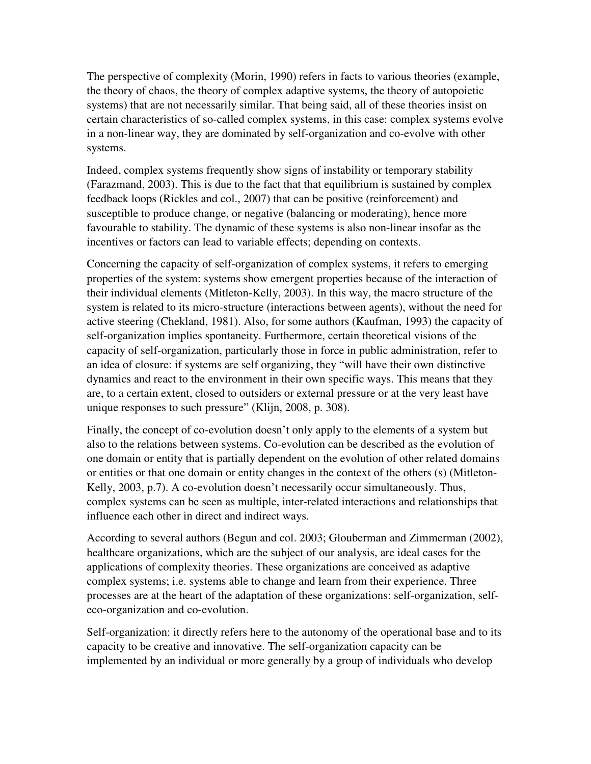The perspective of complexity (Morin, 1990) refers in facts to various theories (example, the theory of chaos, the theory of complex adaptive systems, the theory of autopoietic systems) that are not necessarily similar. That being said, all of these theories insist on certain characteristics of so-called complex systems, in this case: complex systems evolve in a non-linear way, they are dominated by self-organization and co-evolve with other systems.

Indeed, complex systems frequently show signs of instability or temporary stability (Farazmand, 2003). This is due to the fact that that equilibrium is sustained by complex feedback loops (Rickles and col., 2007) that can be positive (reinforcement) and susceptible to produce change, or negative (balancing or moderating), hence more favourable to stability. The dynamic of these systems is also non-linear insofar as the incentives or factors can lead to variable effects; depending on contexts.

Concerning the capacity of self-organization of complex systems, it refers to emerging properties of the system: systems show emergent properties because of the interaction of their individual elements (Mitleton-Kelly, 2003). In this way, the macro structure of the system is related to its micro-structure (interactions between agents), without the need for active steering (Chekland, 1981). Also, for some authors (Kaufman, 1993) the capacity of self-organization implies spontaneity. Furthermore, certain theoretical visions of the capacity of self-organization, particularly those in force in public administration, refer to an idea of closure: if systems are self organizing, they "will have their own distinctive dynamics and react to the environment in their own specific ways. This means that they are, to a certain extent, closed to outsiders or external pressure or at the very least have unique responses to such pressure" (Klijn, 2008, p. 308).

Finally, the concept of co-evolution doesn't only apply to the elements of a system but also to the relations between systems. Co-evolution can be described as the evolution of one domain or entity that is partially dependent on the evolution of other related domains or entities or that one domain or entity changes in the context of the others (s) (Mitleton-Kelly, 2003, p.7). A co-evolution doesn't necessarily occur simultaneously. Thus, complex systems can be seen as multiple, inter-related interactions and relationships that influence each other in direct and indirect ways.

According to several authors (Begun and col. 2003; Glouberman and Zimmerman (2002), healthcare organizations, which are the subject of our analysis, are ideal cases for the applications of complexity theories. These organizations are conceived as adaptive complex systems; i.e. systems able to change and learn from their experience. Three processes are at the heart of the adaptation of these organizations: self-organization, selfeco-organization and co-evolution.

Self-organization: it directly refers here to the autonomy of the operational base and to its capacity to be creative and innovative. The self-organization capacity can be implemented by an individual or more generally by a group of individuals who develop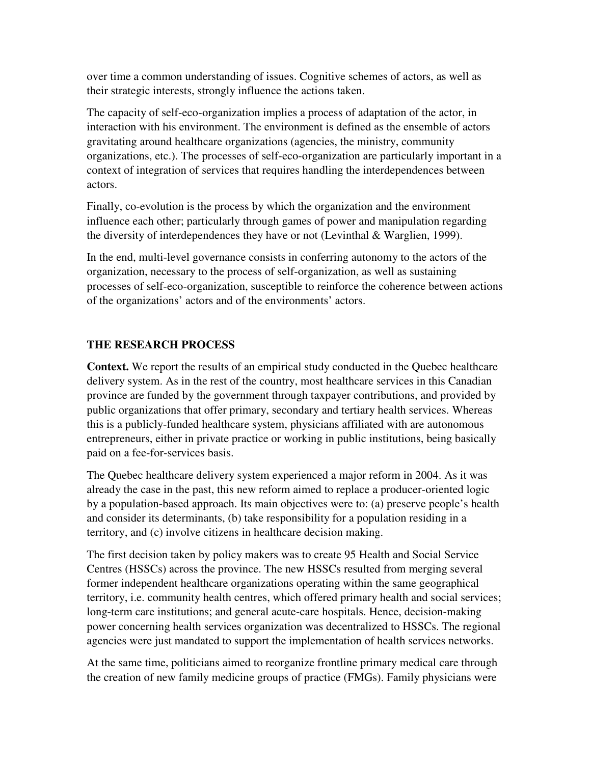over time a common understanding of issues. Cognitive schemes of actors, as well as their strategic interests, strongly influence the actions taken.

The capacity of self-eco-organization implies a process of adaptation of the actor, in interaction with his environment. The environment is defined as the ensemble of actors gravitating around healthcare organizations (agencies, the ministry, community organizations, etc.). The processes of self-eco-organization are particularly important in a context of integration of services that requires handling the interdependences between actors.

Finally, co-evolution is the process by which the organization and the environment influence each other; particularly through games of power and manipulation regarding the diversity of interdependences they have or not (Levinthal & Warglien, 1999).

In the end, multi-level governance consists in conferring autonomy to the actors of the organization, necessary to the process of self-organization, as well as sustaining processes of self-eco-organization, susceptible to reinforce the coherence between actions of the organizations' actors and of the environments' actors.

## **THE RESEARCH PROCESS**

**Context.** We report the results of an empirical study conducted in the Quebec healthcare delivery system. As in the rest of the country, most healthcare services in this Canadian province are funded by the government through taxpayer contributions, and provided by public organizations that offer primary, secondary and tertiary health services. Whereas this is a publicly-funded healthcare system, physicians affiliated with are autonomous entrepreneurs, either in private practice or working in public institutions, being basically paid on a fee-for-services basis.

The Quebec healthcare delivery system experienced a major reform in 2004. As it was already the case in the past, this new reform aimed to replace a producer-oriented logic by a population-based approach. Its main objectives were to: (a) preserve people's health and consider its determinants, (b) take responsibility for a population residing in a territory, and (c) involve citizens in healthcare decision making.

The first decision taken by policy makers was to create 95 Health and Social Service Centres (HSSCs) across the province. The new HSSCs resulted from merging several former independent healthcare organizations operating within the same geographical territory, i.e. community health centres, which offered primary health and social services; long-term care institutions; and general acute-care hospitals. Hence, decision-making power concerning health services organization was decentralized to HSSCs. The regional agencies were just mandated to support the implementation of health services networks.

At the same time, politicians aimed to reorganize frontline primary medical care through the creation of new family medicine groups of practice (FMGs). Family physicians were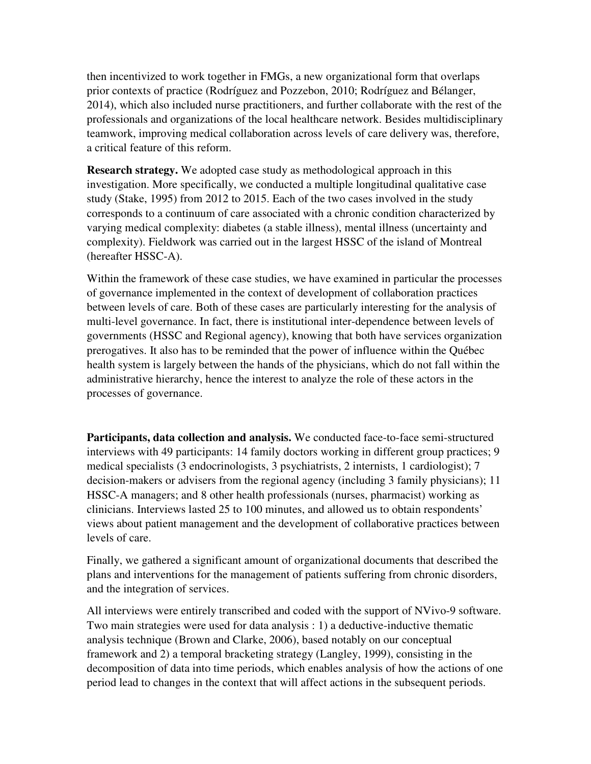then incentivized to work together in FMGs, a new organizational form that overlaps prior contexts of practice (Rodríguez and Pozzebon, 2010; Rodríguez and Bélanger, 2014), which also included nurse practitioners, and further collaborate with the rest of the professionals and organizations of the local healthcare network. Besides multidisciplinary teamwork, improving medical collaboration across levels of care delivery was, therefore, a critical feature of this reform.

**Research strategy.** We adopted case study as methodological approach in this investigation. More specifically, we conducted a multiple longitudinal qualitative case study (Stake, 1995) from 2012 to 2015. Each of the two cases involved in the study corresponds to a continuum of care associated with a chronic condition characterized by varying medical complexity: diabetes (a stable illness), mental illness (uncertainty and complexity). Fieldwork was carried out in the largest HSSC of the island of Montreal (hereafter HSSC-A).

Within the framework of these case studies, we have examined in particular the processes of governance implemented in the context of development of collaboration practices between levels of care. Both of these cases are particularly interesting for the analysis of multi-level governance. In fact, there is institutional inter-dependence between levels of governments (HSSC and Regional agency), knowing that both have services organization prerogatives. It also has to be reminded that the power of influence within the Québec health system is largely between the hands of the physicians, which do not fall within the administrative hierarchy, hence the interest to analyze the role of these actors in the processes of governance.

**Participants, data collection and analysis.** We conducted face-to-face semi-structured interviews with 49 participants: 14 family doctors working in different group practices; 9 medical specialists (3 endocrinologists, 3 psychiatrists, 2 internists, 1 cardiologist); 7 decision-makers or advisers from the regional agency (including 3 family physicians); 11 HSSC-A managers; and 8 other health professionals (nurses, pharmacist) working as clinicians. Interviews lasted 25 to 100 minutes, and allowed us to obtain respondents' views about patient management and the development of collaborative practices between levels of care.

Finally, we gathered a significant amount of organizational documents that described the plans and interventions for the management of patients suffering from chronic disorders, and the integration of services.

All interviews were entirely transcribed and coded with the support of NVivo-9 software. Two main strategies were used for data analysis : 1) a deductive-inductive thematic analysis technique (Brown and Clarke, 2006), based notably on our conceptual framework and 2) a temporal bracketing strategy (Langley, 1999), consisting in the decomposition of data into time periods, which enables analysis of how the actions of one period lead to changes in the context that will affect actions in the subsequent periods.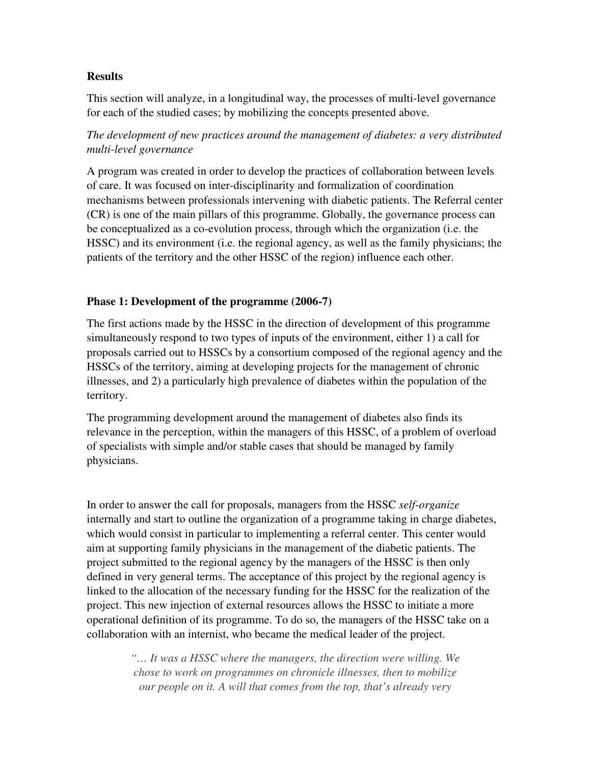## **Results**

This section will analyze, in a longitudinal way, the processes of multi-level governance for each of the studied cases; by mobilizing the concepts presented above.

*The development of new practices around the management of diabetes: a very distributed multi-level governance* 

A program was created in order to develop the practices of collaboration between levels of care. It was focused on inter-disciplinarity and formalization of coordination mechanisms between professionals intervening with diabetic patients. The Referral center (CR) is one of the main pillars of this programme. Globally, the governance process can be conceptualized as a co-evolution process, through which the organization (i.e. the HSSC) and its environment (i.e. the regional agency, as well as the family physicians; the patients of the territory and the other HSSC of the region) influence each other.

## **Phase 1: Development of the programme (2006-7)**

The first actions made by the HSSC in the direction of development of this programme simultaneously respond to two types of inputs of the environment, either 1) a call for proposals carried out to HSSCs by a consortium composed of the regional agency and the HSSCs of the territory, aiming at developing projects for the management of chronic illnesses, and 2) a particularly high prevalence of diabetes within the population of the territory.

The programming development around the management of diabetes also finds its relevance in the perception, within the managers of this HSSC, of a problem of overload of specialists with simple and/or stable cases that should be managed by family physicians.

In order to answer the call for proposals, managers from the HSSC *self-organize* internally and start to outline the organization of a programme taking in charge diabetes, which would consist in particular to implementing a referral center. This center would aim at supporting family physicians in the management of the diabetic patients. The project submitted to the regional agency by the managers of the HSSC is then only defined in very general terms. The acceptance of this project by the regional agency is linked to the allocation of the necessary funding for the HSSC for the realization of the project. This new injection of external resources allows the HSSC to initiate a more operational definition of its programme. To do so, the managers of the HSSC take on a collaboration with an internist, who became the medical leader of the project.

> *"… It was a HSSC where the managers, the direction were willing. We chose to work on programmes on chronicle illnesses, then to mobilize our people on it. A will that comes from the top, that's already very*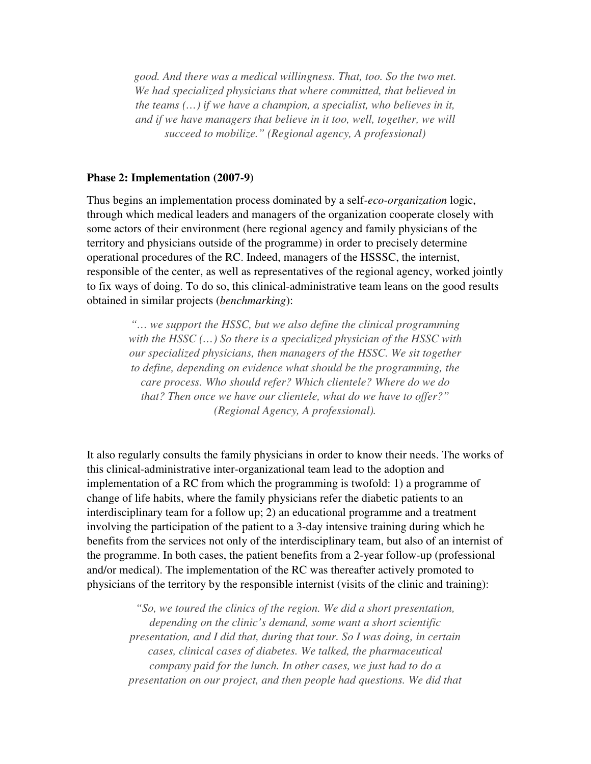*good. And there was a medical willingness. That, too. So the two met. We had specialized physicians that where committed, that believed in the teams (…) if we have a champion, a specialist, who believes in it, and if we have managers that believe in it too, well, together, we will succeed to mobilize." (Regional agency, A professional)* 

#### **Phase 2: Implementation (2007-9)**

Thus begins an implementation process dominated by a self*-eco-organization* logic, through which medical leaders and managers of the organization cooperate closely with some actors of their environment (here regional agency and family physicians of the territory and physicians outside of the programme) in order to precisely determine operational procedures of the RC. Indeed, managers of the HSSSC, the internist, responsible of the center, as well as representatives of the regional agency, worked jointly to fix ways of doing. To do so, this clinical-administrative team leans on the good results obtained in similar projects (*benchmarking*):

*"… we support the HSSC, but we also define the clinical programming with the HSSC (…) So there is a specialized physician of the HSSC with our specialized physicians, then managers of the HSSC. We sit together to define, depending on evidence what should be the programming, the care process. Who should refer? Which clientele? Where do we do that? Then once we have our clientele, what do we have to offer?" (Regional Agency, A professional).* 

It also regularly consults the family physicians in order to know their needs. The works of this clinical-administrative inter-organizational team lead to the adoption and implementation of a RC from which the programming is twofold: 1) a programme of change of life habits, where the family physicians refer the diabetic patients to an interdisciplinary team for a follow up; 2) an educational programme and a treatment involving the participation of the patient to a 3-day intensive training during which he benefits from the services not only of the interdisciplinary team, but also of an internist of the programme. In both cases, the patient benefits from a 2-year follow-up (professional and/or medical). The implementation of the RC was thereafter actively promoted to physicians of the territory by the responsible internist (visits of the clinic and training):

*"So, we toured the clinics of the region. We did a short presentation, depending on the clinic's demand, some want a short scientific presentation, and I did that, during that tour. So I was doing, in certain cases, clinical cases of diabetes. We talked, the pharmaceutical company paid for the lunch. In other cases, we just had to do a presentation on our project, and then people had questions. We did that*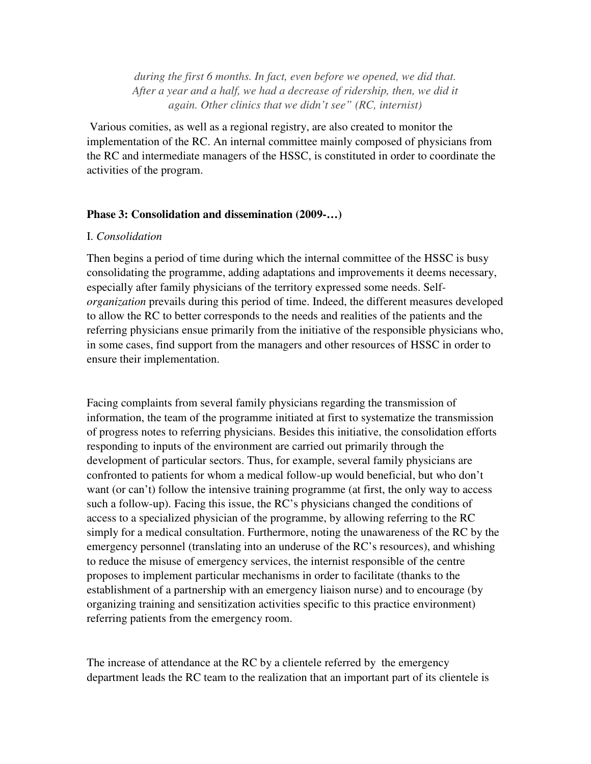*during the first 6 months. In fact, even before we opened, we did that. After a year and a half, we had a decrease of ridership, then, we did it again. Other clinics that we didn't see" (RC, internist)* 

 Various comities, as well as a regional registry, are also created to monitor the implementation of the RC. An internal committee mainly composed of physicians from the RC and intermediate managers of the HSSC, is constituted in order to coordinate the activities of the program.

#### **Phase 3: Consolidation and dissemination (2009-…)**

#### I. *Consolidation*

Then begins a period of time during which the internal committee of the HSSC is busy consolidating the programme, adding adaptations and improvements it deems necessary, especially after family physicians of the territory expressed some needs. Self*organization* prevails during this period of time. Indeed, the different measures developed to allow the RC to better corresponds to the needs and realities of the patients and the referring physicians ensue primarily from the initiative of the responsible physicians who, in some cases, find support from the managers and other resources of HSSC in order to ensure their implementation.

Facing complaints from several family physicians regarding the transmission of information, the team of the programme initiated at first to systematize the transmission of progress notes to referring physicians. Besides this initiative, the consolidation efforts responding to inputs of the environment are carried out primarily through the development of particular sectors. Thus, for example, several family physicians are confronted to patients for whom a medical follow-up would beneficial, but who don't want (or can't) follow the intensive training programme (at first, the only way to access such a follow-up). Facing this issue, the RC's physicians changed the conditions of access to a specialized physician of the programme, by allowing referring to the RC simply for a medical consultation. Furthermore, noting the unawareness of the RC by the emergency personnel (translating into an underuse of the RC's resources), and whishing to reduce the misuse of emergency services, the internist responsible of the centre proposes to implement particular mechanisms in order to facilitate (thanks to the establishment of a partnership with an emergency liaison nurse) and to encourage (by organizing training and sensitization activities specific to this practice environment) referring patients from the emergency room.

The increase of attendance at the RC by a clientele referred by the emergency department leads the RC team to the realization that an important part of its clientele is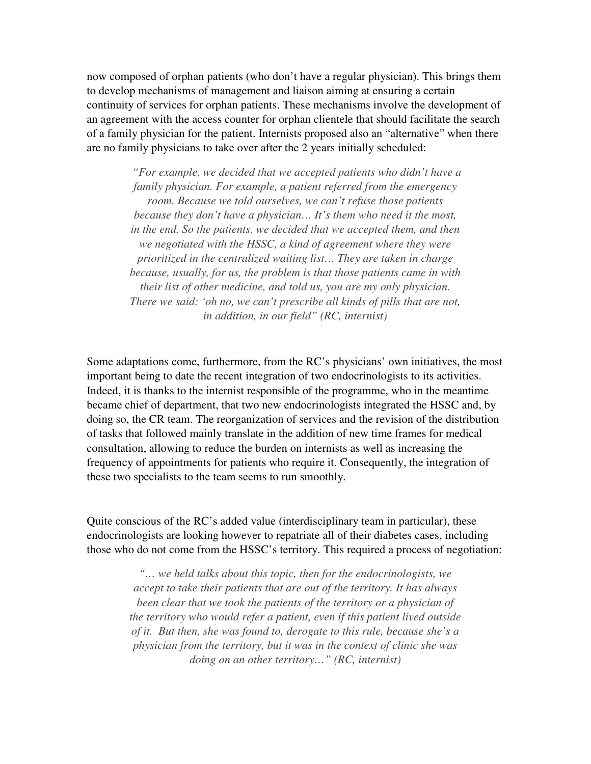now composed of orphan patients (who don't have a regular physician). This brings them to develop mechanisms of management and liaison aiming at ensuring a certain continuity of services for orphan patients. These mechanisms involve the development of an agreement with the access counter for orphan clientele that should facilitate the search of a family physician for the patient. Internists proposed also an "alternative" when there are no family physicians to take over after the 2 years initially scheduled:

> *"For example, we decided that we accepted patients who didn't have a family physician. For example, a patient referred from the emergency room. Because we told ourselves, we can't refuse those patients because they don't have a physician… It's them who need it the most, in the end. So the patients, we decided that we accepted them, and then we negotiated with the HSSC, a kind of agreement where they were prioritized in the centralized waiting list… They are taken in charge because, usually, for us, the problem is that those patients came in with their list of other medicine, and told us, you are my only physician. There we said: 'oh no, we can't prescribe all kinds of pills that are not, in addition, in our field" (RC, internist)*

Some adaptations come, furthermore, from the RC's physicians' own initiatives, the most important being to date the recent integration of two endocrinologists to its activities. Indeed, it is thanks to the internist responsible of the programme, who in the meantime became chief of department, that two new endocrinologists integrated the HSSC and, by doing so, the CR team. The reorganization of services and the revision of the distribution of tasks that followed mainly translate in the addition of new time frames for medical consultation, allowing to reduce the burden on internists as well as increasing the frequency of appointments for patients who require it. Consequently, the integration of these two specialists to the team seems to run smoothly.

Quite conscious of the RC's added value (interdisciplinary team in particular), these endocrinologists are looking however to repatriate all of their diabetes cases, including those who do not come from the HSSC's territory. This required a process of negotiation:

> *"… we held talks about this topic, then for the endocrinologists, we accept to take their patients that are out of the territory. It has always been clear that we took the patients of the territory or a physician of the territory who would refer a patient, even if this patient lived outside of it. But then, she was found to, derogate to this rule, because she's a physician from the territory, but it was in the context of clinic she was doing on an other territory…" (RC, internist)*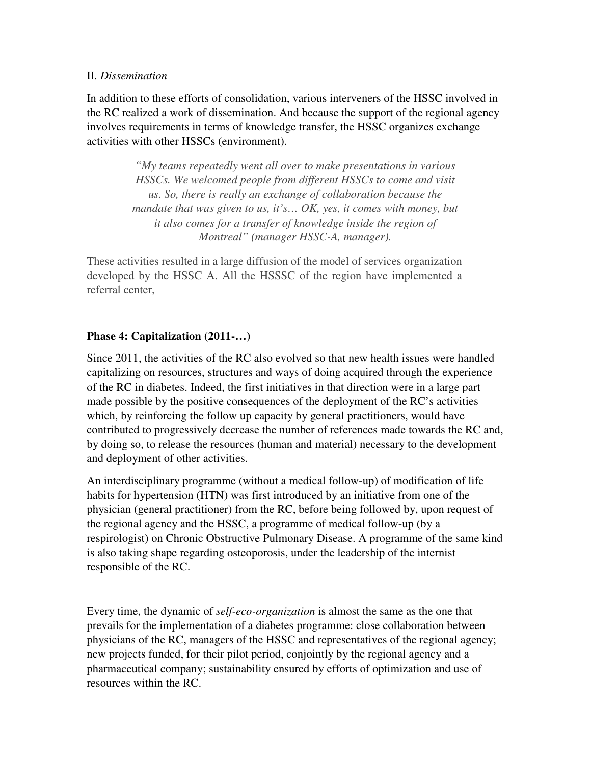#### II. *Dissemination*

In addition to these efforts of consolidation, various interveners of the HSSC involved in the RC realized a work of dissemination. And because the support of the regional agency involves requirements in terms of knowledge transfer, the HSSC organizes exchange activities with other HSSCs (environment).

> *"My teams repeatedly went all over to make presentations in various HSSCs. We welcomed people from different HSSCs to come and visit us. So, there is really an exchange of collaboration because the mandate that was given to us, it's… OK, yes, it comes with money, but it also comes for a transfer of knowledge inside the region of Montreal" (manager HSSC-A, manager).*

These activities resulted in a large diffusion of the model of services organization developed by the HSSC A. All the HSSSC of the region have implemented a referral center,

## **Phase 4: Capitalization (2011-…)**

Since 2011, the activities of the RC also evolved so that new health issues were handled capitalizing on resources, structures and ways of doing acquired through the experience of the RC in diabetes. Indeed, the first initiatives in that direction were in a large part made possible by the positive consequences of the deployment of the RC's activities which, by reinforcing the follow up capacity by general practitioners, would have contributed to progressively decrease the number of references made towards the RC and, by doing so, to release the resources (human and material) necessary to the development and deployment of other activities.

An interdisciplinary programme (without a medical follow-up) of modification of life habits for hypertension (HTN) was first introduced by an initiative from one of the physician (general practitioner) from the RC, before being followed by, upon request of the regional agency and the HSSC, a programme of medical follow-up (by a respirologist) on Chronic Obstructive Pulmonary Disease. A programme of the same kind is also taking shape regarding osteoporosis, under the leadership of the internist responsible of the RC.

Every time, the dynamic of *self-eco-organization* is almost the same as the one that prevails for the implementation of a diabetes programme: close collaboration between physicians of the RC, managers of the HSSC and representatives of the regional agency; new projects funded, for their pilot period, conjointly by the regional agency and a pharmaceutical company; sustainability ensured by efforts of optimization and use of resources within the RC.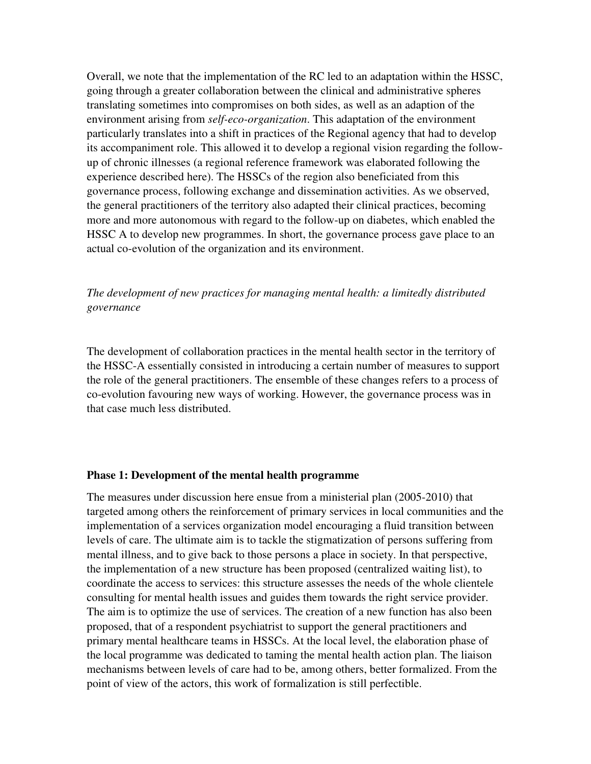Overall, we note that the implementation of the RC led to an adaptation within the HSSC, going through a greater collaboration between the clinical and administrative spheres translating sometimes into compromises on both sides, as well as an adaption of the environment arising from *self-eco-organization*. This adaptation of the environment particularly translates into a shift in practices of the Regional agency that had to develop its accompaniment role. This allowed it to develop a regional vision regarding the followup of chronic illnesses (a regional reference framework was elaborated following the experience described here). The HSSCs of the region also beneficiated from this governance process, following exchange and dissemination activities. As we observed, the general practitioners of the territory also adapted their clinical practices, becoming more and more autonomous with regard to the follow-up on diabetes, which enabled the HSSC A to develop new programmes. In short, the governance process gave place to an actual co-evolution of the organization and its environment.

## *The development of new practices for managing mental health: a limitedly distributed governance*

The development of collaboration practices in the mental health sector in the territory of the HSSC-A essentially consisted in introducing a certain number of measures to support the role of the general practitioners. The ensemble of these changes refers to a process of co-evolution favouring new ways of working. However, the governance process was in that case much less distributed.

#### **Phase 1: Development of the mental health programme**

The measures under discussion here ensue from a ministerial plan (2005-2010) that targeted among others the reinforcement of primary services in local communities and the implementation of a services organization model encouraging a fluid transition between levels of care. The ultimate aim is to tackle the stigmatization of persons suffering from mental illness, and to give back to those persons a place in society. In that perspective, the implementation of a new structure has been proposed (centralized waiting list), to coordinate the access to services: this structure assesses the needs of the whole clientele consulting for mental health issues and guides them towards the right service provider. The aim is to optimize the use of services. The creation of a new function has also been proposed, that of a respondent psychiatrist to support the general practitioners and primary mental healthcare teams in HSSCs. At the local level, the elaboration phase of the local programme was dedicated to taming the mental health action plan. The liaison mechanisms between levels of care had to be, among others, better formalized. From the point of view of the actors, this work of formalization is still perfectible.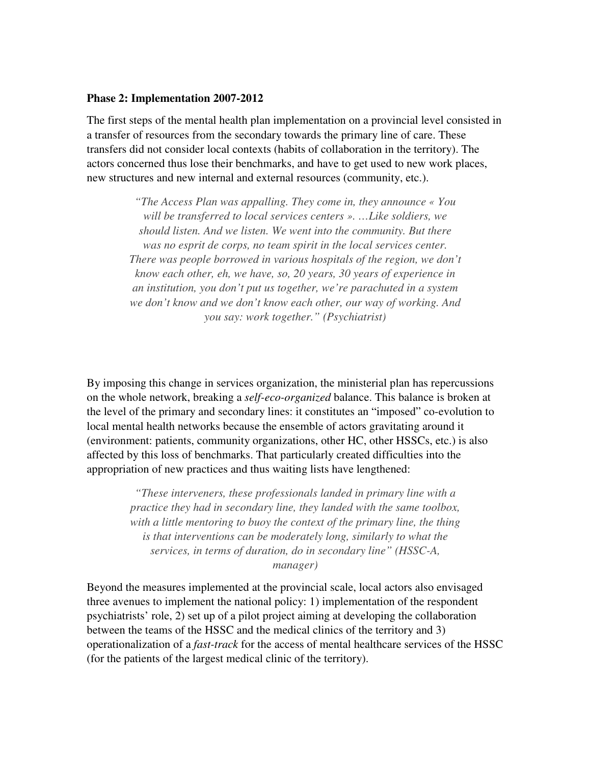#### **Phase 2: Implementation 2007-2012**

The first steps of the mental health plan implementation on a provincial level consisted in a transfer of resources from the secondary towards the primary line of care. These transfers did not consider local contexts (habits of collaboration in the territory). The actors concerned thus lose their benchmarks, and have to get used to new work places, new structures and new internal and external resources (community, etc.).

> *"The Access Plan was appalling. They come in, they announce « You will be transferred to local services centers ». …Like soldiers, we should listen. And we listen. We went into the community. But there was no esprit de corps, no team spirit in the local services center. There was people borrowed in various hospitals of the region, we don't know each other, eh, we have, so, 20 years, 30 years of experience in an institution, you don't put us together, we're parachuted in a system we don't know and we don't know each other, our way of working. And you say: work together." (Psychiatrist)*

By imposing this change in services organization, the ministerial plan has repercussions on the whole network, breaking a *self-eco-organized* balance. This balance is broken at the level of the primary and secondary lines: it constitutes an "imposed" co-evolution to local mental health networks because the ensemble of actors gravitating around it (environment: patients, community organizations, other HC, other HSSCs, etc.) is also affected by this loss of benchmarks. That particularly created difficulties into the appropriation of new practices and thus waiting lists have lengthened:

> *"These interveners, these professionals landed in primary line with a practice they had in secondary line, they landed with the same toolbox, with a little mentoring to buoy the context of the primary line, the thing is that interventions can be moderately long, similarly to what the services, in terms of duration, do in secondary line" (HSSC-A, manager)*

Beyond the measures implemented at the provincial scale, local actors also envisaged three avenues to implement the national policy: 1) implementation of the respondent psychiatrists' role, 2) set up of a pilot project aiming at developing the collaboration between the teams of the HSSC and the medical clinics of the territory and 3) operationalization of a *fast-track* for the access of mental healthcare services of the HSSC (for the patients of the largest medical clinic of the territory).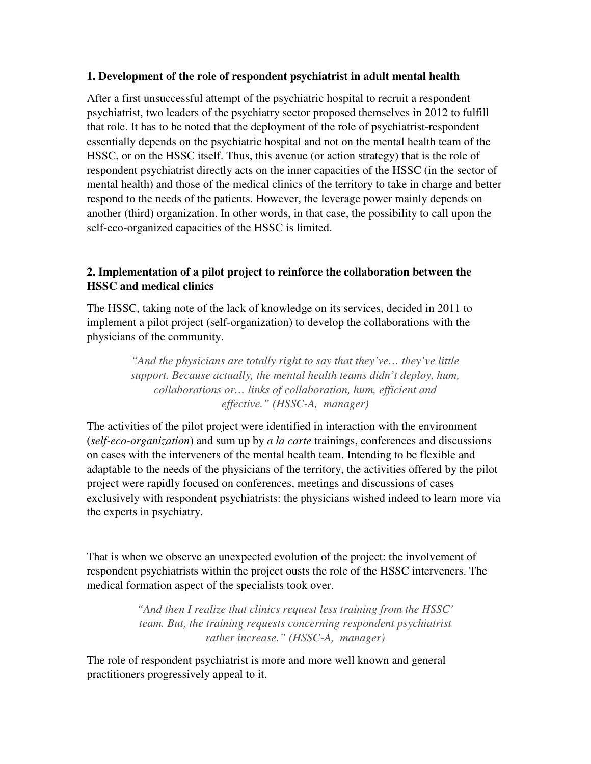## **1. Development of the role of respondent psychiatrist in adult mental health**

After a first unsuccessful attempt of the psychiatric hospital to recruit a respondent psychiatrist, two leaders of the psychiatry sector proposed themselves in 2012 to fulfill that role. It has to be noted that the deployment of the role of psychiatrist-respondent essentially depends on the psychiatric hospital and not on the mental health team of the HSSC, or on the HSSC itself. Thus, this avenue (or action strategy) that is the role of respondent psychiatrist directly acts on the inner capacities of the HSSC (in the sector of mental health) and those of the medical clinics of the territory to take in charge and better respond to the needs of the patients. However, the leverage power mainly depends on another (third) organization. In other words, in that case, the possibility to call upon the self-eco-organized capacities of the HSSC is limited.

## **2. Implementation of a pilot project to reinforce the collaboration between the HSSC and medical clinics**

The HSSC, taking note of the lack of knowledge on its services, decided in 2011 to implement a pilot project (self-organization) to develop the collaborations with the physicians of the community.

> *"And the physicians are totally right to say that they've… they've little support. Because actually, the mental health teams didn't deploy, hum, collaborations or… links of collaboration, hum, efficient and effective." (HSSC-A, manager)*

The activities of the pilot project were identified in interaction with the environment (*self-eco-organization*) and sum up by *a la carte* trainings, conferences and discussions on cases with the interveners of the mental health team. Intending to be flexible and adaptable to the needs of the physicians of the territory, the activities offered by the pilot project were rapidly focused on conferences, meetings and discussions of cases exclusively with respondent psychiatrists: the physicians wished indeed to learn more via the experts in psychiatry.

That is when we observe an unexpected evolution of the project: the involvement of respondent psychiatrists within the project ousts the role of the HSSC interveners. The medical formation aspect of the specialists took over.

> *"And then I realize that clinics request less training from the HSSC' team. But, the training requests concerning respondent psychiatrist rather increase." (HSSC-A, manager)*

The role of respondent psychiatrist is more and more well known and general practitioners progressively appeal to it.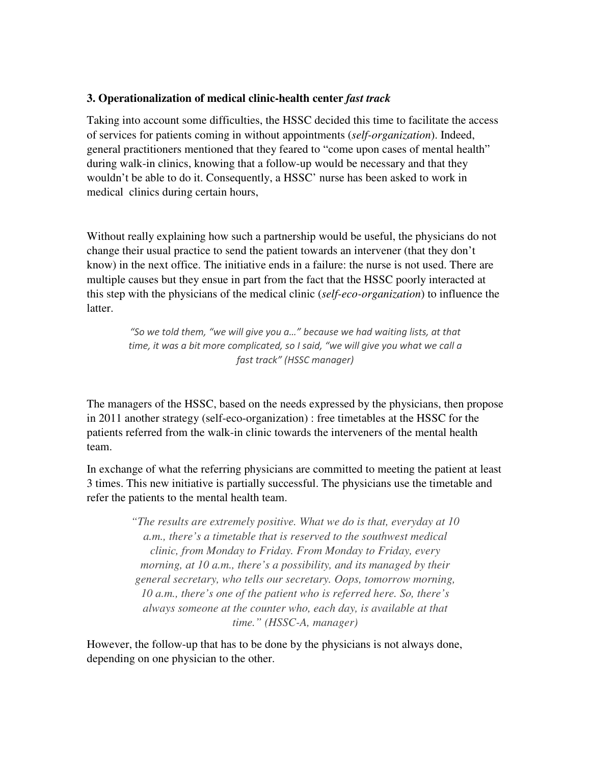## **3. Operationalization of medical clinic-health center** *fast track*

Taking into account some difficulties, the HSSC decided this time to facilitate the access of services for patients coming in without appointments (*self-organization*). Indeed, general practitioners mentioned that they feared to "come upon cases of mental health" during walk-in clinics, knowing that a follow-up would be necessary and that they wouldn't be able to do it. Consequently, a HSSC' nurse has been asked to work in medical clinics during certain hours,

Without really explaining how such a partnership would be useful, the physicians do not change their usual practice to send the patient towards an intervener (that they don't know) in the next office. The initiative ends in a failure: the nurse is not used. There are multiple causes but they ensue in part from the fact that the HSSC poorly interacted at this step with the physicians of the medical clinic (*self-eco-organization*) to influence the latter.

*"So we told them, "we will give you a…" because we had waiting lists, at that time, it was a bit more complicated, so I said, "we will give you what we call a fast track" (HSSC manager)* 

The managers of the HSSC, based on the needs expressed by the physicians, then propose in 2011 another strategy (self-eco-organization) : free timetables at the HSSC for the patients referred from the walk-in clinic towards the interveners of the mental health team.

In exchange of what the referring physicians are committed to meeting the patient at least 3 times. This new initiative is partially successful. The physicians use the timetable and refer the patients to the mental health team.

> *"The results are extremely positive. What we do is that, everyday at 10 a.m., there's a timetable that is reserved to the southwest medical clinic, from Monday to Friday. From Monday to Friday, every morning, at 10 a.m., there's a possibility, and its managed by their general secretary, who tells our secretary. Oops, tomorrow morning, 10 a.m., there's one of the patient who is referred here. So, there's always someone at the counter who, each day, is available at that time." (HSSC-A, manager)*

However, the follow-up that has to be done by the physicians is not always done, depending on one physician to the other.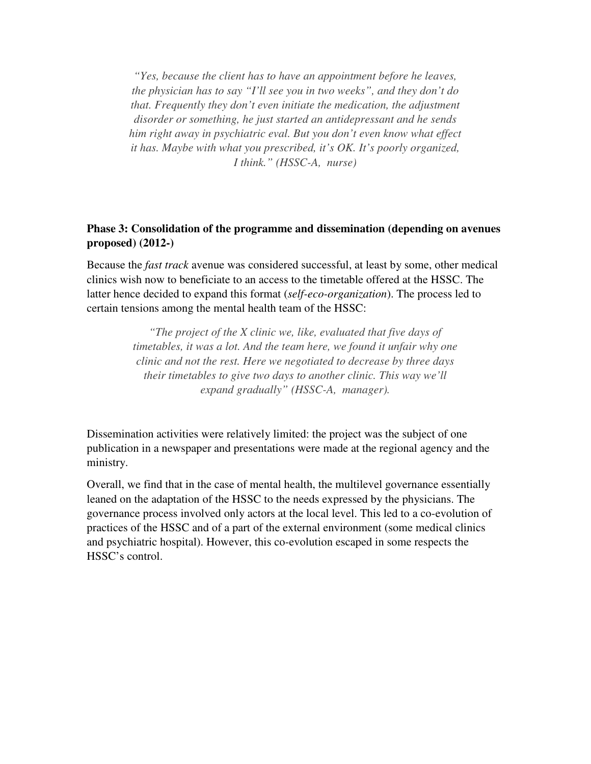*"Yes, because the client has to have an appointment before he leaves, the physician has to say "I'll see you in two weeks", and they don't do that. Frequently they don't even initiate the medication, the adjustment disorder or something, he just started an antidepressant and he sends him right away in psychiatric eval. But you don't even know what effect it has. Maybe with what you prescribed, it's OK. It's poorly organized, I think." (HSSC-A, nurse)* 

## **Phase 3: Consolidation of the programme and dissemination (depending on avenues proposed) (2012-)**

Because the *fast track* avenue was considered successful, at least by some, other medical clinics wish now to beneficiate to an access to the timetable offered at the HSSC. The latter hence decided to expand this format (*self-eco-organization*). The process led to certain tensions among the mental health team of the HSSC:

> *"The project of the X clinic we, like, evaluated that five days of timetables, it was a lot. And the team here, we found it unfair why one clinic and not the rest. Here we negotiated to decrease by three days their timetables to give two days to another clinic. This way we'll expand gradually" (HSSC-A, manager).*

Dissemination activities were relatively limited: the project was the subject of one publication in a newspaper and presentations were made at the regional agency and the ministry.

Overall, we find that in the case of mental health, the multilevel governance essentially leaned on the adaptation of the HSSC to the needs expressed by the physicians. The governance process involved only actors at the local level. This led to a co-evolution of practices of the HSSC and of a part of the external environment (some medical clinics and psychiatric hospital). However, this co-evolution escaped in some respects the HSSC's control.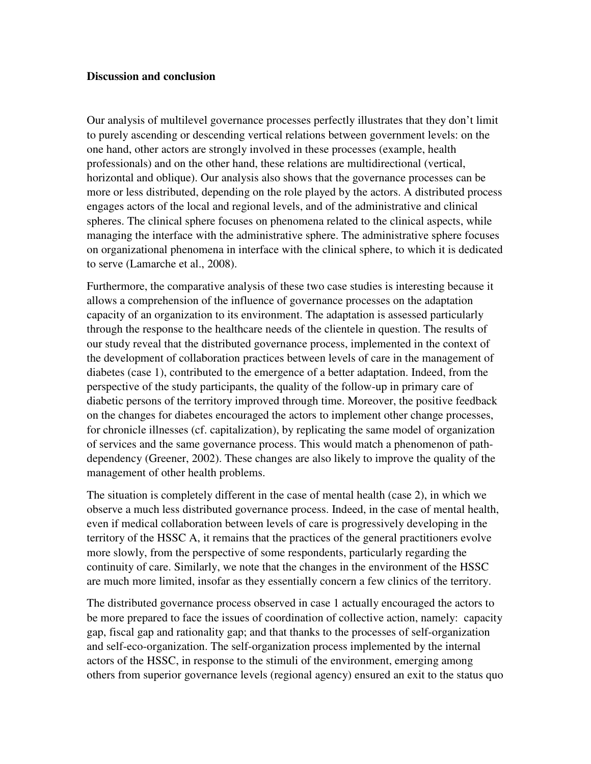#### **Discussion and conclusion**

Our analysis of multilevel governance processes perfectly illustrates that they don't limit to purely ascending or descending vertical relations between government levels: on the one hand, other actors are strongly involved in these processes (example, health professionals) and on the other hand, these relations are multidirectional (vertical, horizontal and oblique). Our analysis also shows that the governance processes can be more or less distributed, depending on the role played by the actors. A distributed process engages actors of the local and regional levels, and of the administrative and clinical spheres. The clinical sphere focuses on phenomena related to the clinical aspects, while managing the interface with the administrative sphere. The administrative sphere focuses on organizational phenomena in interface with the clinical sphere, to which it is dedicated to serve (Lamarche et al., 2008).

Furthermore, the comparative analysis of these two case studies is interesting because it allows a comprehension of the influence of governance processes on the adaptation capacity of an organization to its environment. The adaptation is assessed particularly through the response to the healthcare needs of the clientele in question. The results of our study reveal that the distributed governance process, implemented in the context of the development of collaboration practices between levels of care in the management of diabetes (case 1), contributed to the emergence of a better adaptation. Indeed, from the perspective of the study participants, the quality of the follow-up in primary care of diabetic persons of the territory improved through time. Moreover, the positive feedback on the changes for diabetes encouraged the actors to implement other change processes, for chronicle illnesses (cf. capitalization), by replicating the same model of organization of services and the same governance process. This would match a phenomenon of pathdependency (Greener, 2002). These changes are also likely to improve the quality of the management of other health problems.

The situation is completely different in the case of mental health (case 2), in which we observe a much less distributed governance process. Indeed, in the case of mental health, even if medical collaboration between levels of care is progressively developing in the territory of the HSSC A, it remains that the practices of the general practitioners evolve more slowly, from the perspective of some respondents, particularly regarding the continuity of care. Similarly, we note that the changes in the environment of the HSSC are much more limited, insofar as they essentially concern a few clinics of the territory.

The distributed governance process observed in case 1 actually encouraged the actors to be more prepared to face the issues of coordination of collective action, namely: capacity gap, fiscal gap and rationality gap; and that thanks to the processes of self-organization and self-eco-organization. The self-organization process implemented by the internal actors of the HSSC, in response to the stimuli of the environment, emerging among others from superior governance levels (regional agency) ensured an exit to the status quo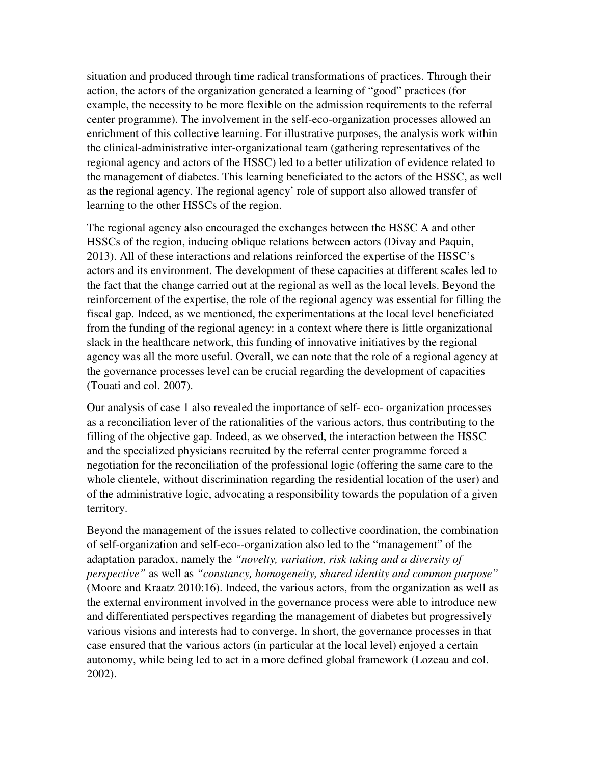situation and produced through time radical transformations of practices. Through their action, the actors of the organization generated a learning of "good" practices (for example, the necessity to be more flexible on the admission requirements to the referral center programme). The involvement in the self-eco-organization processes allowed an enrichment of this collective learning. For illustrative purposes, the analysis work within the clinical-administrative inter-organizational team (gathering representatives of the regional agency and actors of the HSSC) led to a better utilization of evidence related to the management of diabetes. This learning beneficiated to the actors of the HSSC, as well as the regional agency. The regional agency' role of support also allowed transfer of learning to the other HSSCs of the region.

The regional agency also encouraged the exchanges between the HSSC A and other HSSCs of the region, inducing oblique relations between actors (Divay and Paquin, 2013). All of these interactions and relations reinforced the expertise of the HSSC's actors and its environment. The development of these capacities at different scales led to the fact that the change carried out at the regional as well as the local levels. Beyond the reinforcement of the expertise, the role of the regional agency was essential for filling the fiscal gap. Indeed, as we mentioned, the experimentations at the local level beneficiated from the funding of the regional agency: in a context where there is little organizational slack in the healthcare network, this funding of innovative initiatives by the regional agency was all the more useful. Overall, we can note that the role of a regional agency at the governance processes level can be crucial regarding the development of capacities (Touati and col. 2007).

Our analysis of case 1 also revealed the importance of self- eco- organization processes as a reconciliation lever of the rationalities of the various actors, thus contributing to the filling of the objective gap. Indeed, as we observed, the interaction between the HSSC and the specialized physicians recruited by the referral center programme forced a negotiation for the reconciliation of the professional logic (offering the same care to the whole clientele, without discrimination regarding the residential location of the user) and of the administrative logic, advocating a responsibility towards the population of a given territory.

Beyond the management of the issues related to collective coordination, the combination of self-organization and self-eco--organization also led to the "management" of the adaptation paradox, namely the *"novelty, variation, risk taking and a diversity of perspective"* as well as *"constancy, homogeneity, shared identity and common purpose"* (Moore and Kraatz 2010:16). Indeed, the various actors, from the organization as well as the external environment involved in the governance process were able to introduce new and differentiated perspectives regarding the management of diabetes but progressively various visions and interests had to converge. In short, the governance processes in that case ensured that the various actors (in particular at the local level) enjoyed a certain autonomy, while being led to act in a more defined global framework (Lozeau and col. 2002).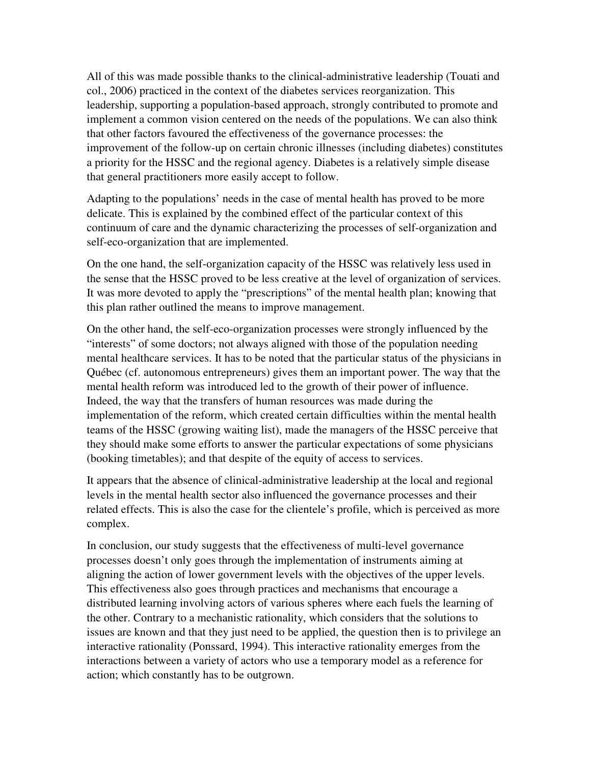All of this was made possible thanks to the clinical-administrative leadership (Touati and col., 2006) practiced in the context of the diabetes services reorganization. This leadership, supporting a population-based approach, strongly contributed to promote and implement a common vision centered on the needs of the populations. We can also think that other factors favoured the effectiveness of the governance processes: the improvement of the follow-up on certain chronic illnesses (including diabetes) constitutes a priority for the HSSC and the regional agency. Diabetes is a relatively simple disease that general practitioners more easily accept to follow.

Adapting to the populations' needs in the case of mental health has proved to be more delicate. This is explained by the combined effect of the particular context of this continuum of care and the dynamic characterizing the processes of self-organization and self-eco-organization that are implemented.

On the one hand, the self-organization capacity of the HSSC was relatively less used in the sense that the HSSC proved to be less creative at the level of organization of services. It was more devoted to apply the "prescriptions" of the mental health plan; knowing that this plan rather outlined the means to improve management.

On the other hand, the self-eco-organization processes were strongly influenced by the "interests" of some doctors; not always aligned with those of the population needing mental healthcare services. It has to be noted that the particular status of the physicians in Québec (cf. autonomous entrepreneurs) gives them an important power. The way that the mental health reform was introduced led to the growth of their power of influence. Indeed, the way that the transfers of human resources was made during the implementation of the reform, which created certain difficulties within the mental health teams of the HSSC (growing waiting list), made the managers of the HSSC perceive that they should make some efforts to answer the particular expectations of some physicians (booking timetables); and that despite of the equity of access to services.

It appears that the absence of clinical-administrative leadership at the local and regional levels in the mental health sector also influenced the governance processes and their related effects. This is also the case for the clientele's profile, which is perceived as more complex.

In conclusion, our study suggests that the effectiveness of multi-level governance processes doesn't only goes through the implementation of instruments aiming at aligning the action of lower government levels with the objectives of the upper levels. This effectiveness also goes through practices and mechanisms that encourage a distributed learning involving actors of various spheres where each fuels the learning of the other. Contrary to a mechanistic rationality, which considers that the solutions to issues are known and that they just need to be applied, the question then is to privilege an interactive rationality (Ponssard, 1994). This interactive rationality emerges from the interactions between a variety of actors who use a temporary model as a reference for action; which constantly has to be outgrown.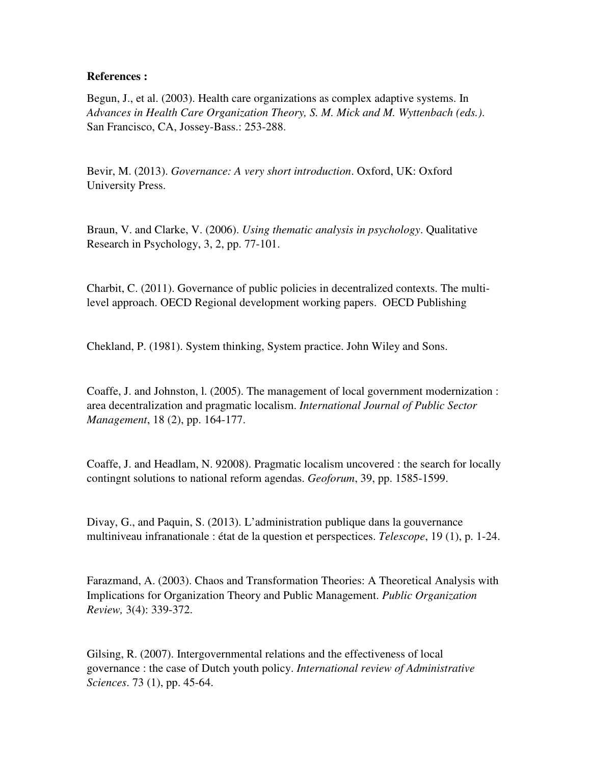#### **References :**

Begun, J., et al. (2003). Health care organizations as complex adaptive systems. In *Advances in Health Care Organization Theory, S. M. Mick and M. Wyttenbach (eds.)*. San Francisco, CA, Jossey-Bass.: 253-288.

Bevir, M. (2013). *Governance: A very short introduction*. Oxford, UK: Oxford University Press.

Braun, V. and Clarke, V. (2006). *Using thematic analysis in psychology*. Qualitative Research in Psychology, 3, 2, pp. 77-101.

Charbit, C. (2011). Governance of public policies in decentralized contexts. The multilevel approach. OECD Regional development working papers. OECD Publishing

Chekland, P. (1981). System thinking, System practice. John Wiley and Sons.

Coaffe, J. and Johnston, l. (2005). The management of local government modernization : area decentralization and pragmatic localism. *International Journal of Public Sector Management*, 18 (2), pp. 164-177.

Coaffe, J. and Headlam, N. 92008). Pragmatic localism uncovered : the search for locally contingnt solutions to national reform agendas. *Geoforum*, 39, pp. 1585-1599.

Divay, G., and Paquin, S. (2013). L'administration publique dans la gouvernance multiniveau infranationale : état de la question et perspectices. *Telescope*, 19 (1), p. 1-24.

Farazmand, A. (2003). Chaos and Transformation Theories: A Theoretical Analysis with Implications for Organization Theory and Public Management. *Public Organization Review,* 3(4): 339-372.

Gilsing, R. (2007). Intergovernmental relations and the effectiveness of local governance : the case of Dutch youth policy. *International review of Administrative Sciences*. 73 (1), pp. 45-64.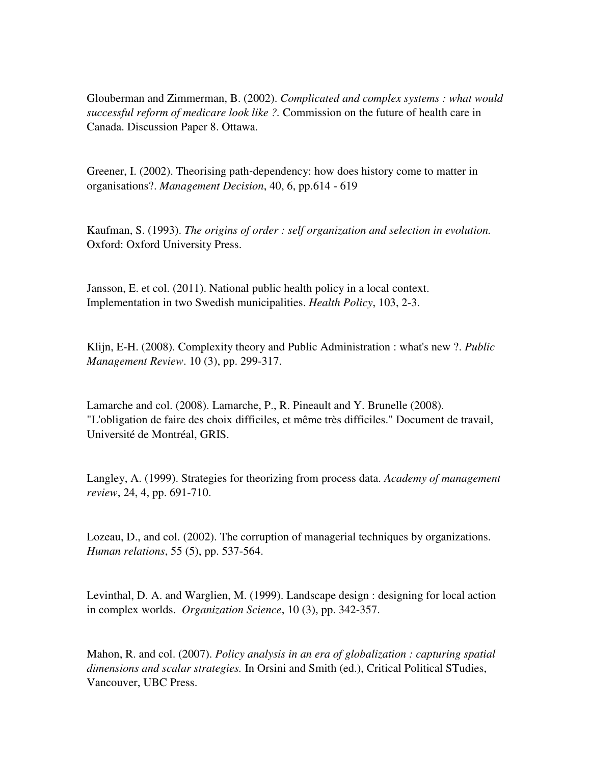Glouberman and Zimmerman, B. (2002). *Complicated and complex systems : what would successful reform of medicare look like ?.* Commission on the future of health care in Canada. Discussion Paper 8. Ottawa.

Greener, I. (2002). Theorising path-dependency: how does history come to matter in organisations?. *Management Decision*, 40, 6, pp.614 - 619

Kaufman, S. (1993). *The origins of order : self organization and selection in evolution.*  Oxford: Oxford University Press.

Jansson, E. et col. (2011). National public health policy in a local context. Implementation in two Swedish municipalities. *Health Policy*, 103, 2-3.

Klijn, E-H. (2008). Complexity theory and Public Administration : what's new ?. *Public Management Review*. 10 (3), pp. 299-317.

Lamarche and col. (2008). Lamarche, P., R. Pineault and Y. Brunelle (2008). "L'obligation de faire des choix difficiles, et même très difficiles." Document de travail, Université de Montréal, GRIS.

Langley, A. (1999). Strategies for theorizing from process data. *Academy of management review*, 24, 4, pp. 691-710.

Lozeau, D., and col. (2002). The corruption of managerial techniques by organizations. *Human relations*, 55 (5), pp. 537-564.

Levinthal, D. A. and Warglien, M. (1999). Landscape design : designing for local action in complex worlds. *Organization Science*, 10 (3), pp. 342-357.

Mahon, R. and col. (2007). *Policy analysis in an era of globalization : capturing spatial dimensions and scalar strategies.* In Orsini and Smith (ed.), Critical Political STudies, Vancouver, UBC Press.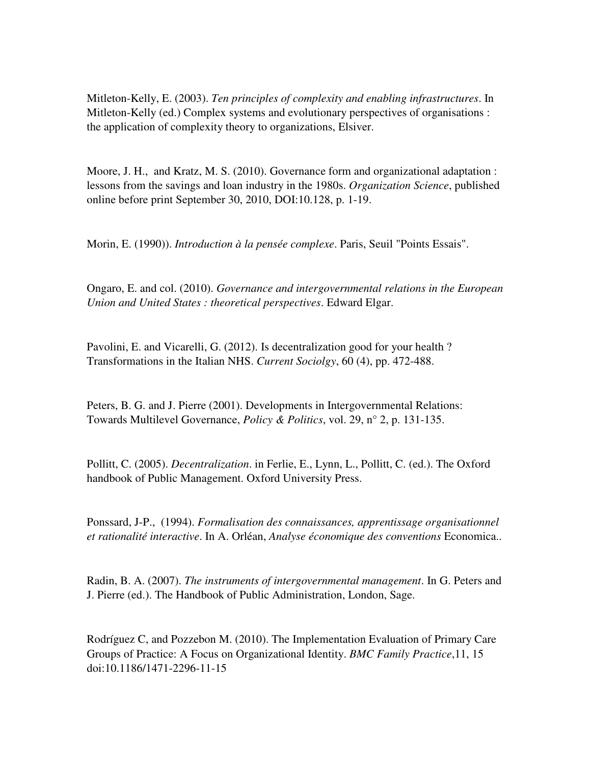Mitleton-Kelly, E. (2003). *Ten principles of complexity and enabling infrastructures*. In Mitleton-Kelly (ed.) Complex systems and evolutionary perspectives of organisations : the application of complexity theory to organizations, Elsiver.

Moore, J. H., and Kratz, M. S. (2010). Governance form and organizational adaptation : lessons from the savings and loan industry in the 1980s. *Organization Science*, published online before print September 30, 2010, DOI:10.128, p. 1-19.

Morin, E. (1990)). *Introduction à la pensée complexe*. Paris, Seuil "Points Essais".

Ongaro, E. and col. (2010). *Governance and intergovernmental relations in the European Union and United States : theoretical perspectives*. Edward Elgar.

Pavolini, E. and Vicarelli, G. (2012). Is decentralization good for your health ? Transformations in the Italian NHS. *Current Sociolgy*, 60 (4), pp. 472-488.

Peters, B. G. and J. Pierre (2001). Developments in Intergovernmental Relations: Towards Multilevel Governance, *Policy & Politics*, vol. 29, n° 2, p. 131-135.

Pollitt, C. (2005). *Decentralization*. in Ferlie, E., Lynn, L., Pollitt, C. (ed.). The Oxford handbook of Public Management. Oxford University Press.

Ponssard, J-P., (1994). *Formalisation des connaissances, apprentissage organisationnel et rationalité interactive*. In A. Orléan, *Analyse économique des conventions* Economica..

Radin, B. A. (2007). *The instruments of intergovernmental management*. In G. Peters and J. Pierre (ed.). The Handbook of Public Administration, London, Sage.

Rodríguez C, and Pozzebon M. (2010). The Implementation Evaluation of Primary Care Groups of Practice: A Focus on Organizational Identity. *BMC Family Practice*,11, 15 doi:10.1186/1471-2296-11-15